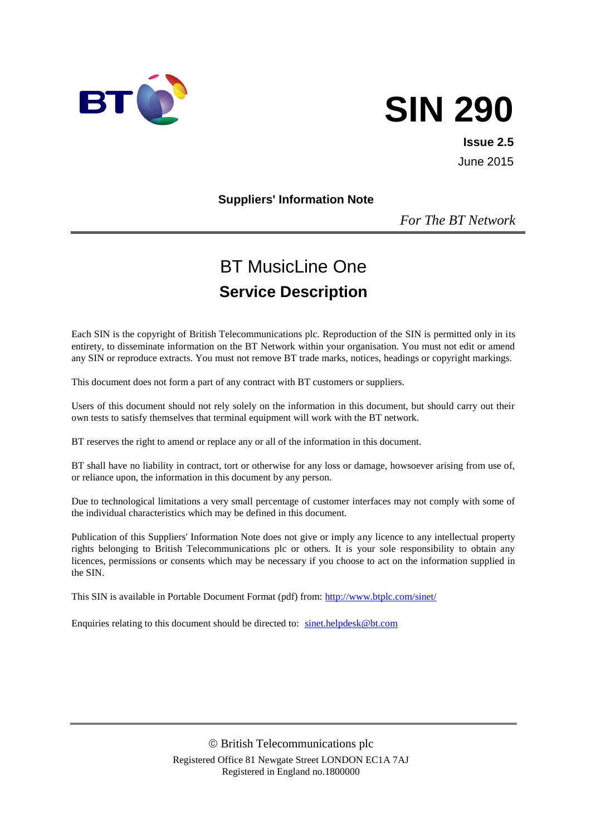

# **SIN 290**

**Issue 2.5** June 2015

#### **Suppliers' Information Note**

*For The BT Network*

# BT MusicLine One **Service Description**

Each SIN is the copyright of British Telecommunications plc. Reproduction of the SIN is permitted only in its entirety, to disseminate information on the BT Network within your organisation. You must not edit or amend any SIN or reproduce extracts. You must not remove BT trade marks, notices, headings or copyright markings.

This document does not form a part of any contract with BT customers or suppliers.

Users of this document should not rely solely on the information in this document, but should carry out their own tests to satisfy themselves that terminal equipment will work with the BT network.

BT reserves the right to amend or replace any or all of the information in this document.

BT shall have no liability in contract, tort or otherwise for any loss or damage, howsoever arising from use of, or reliance upon, the information in this document by any person.

Due to technological limitations a very small percentage of customer interfaces may not comply with some of the individual characteristics which may be defined in this document.

Publication of this Suppliers' Information Note does not give or imply any licence to any intellectual property rights belonging to British Telecommunications plc or others. It is your sole responsibility to obtain any licences, permissions or consents which may be necessary if you choose to act on the information supplied in the SIN.

This SIN is available in Portable Document Format (pdf) from:<http://www.btplc.com/sinet/>

Enquiries relating to this document should be directed to: [sinet.helpdesk@bt.com](mailto:sinet.helpdesk@bt.com)

 British Telecommunications plc Registered Office 81 Newgate Street LONDON EC1A 7AJ Registered in England no.1800000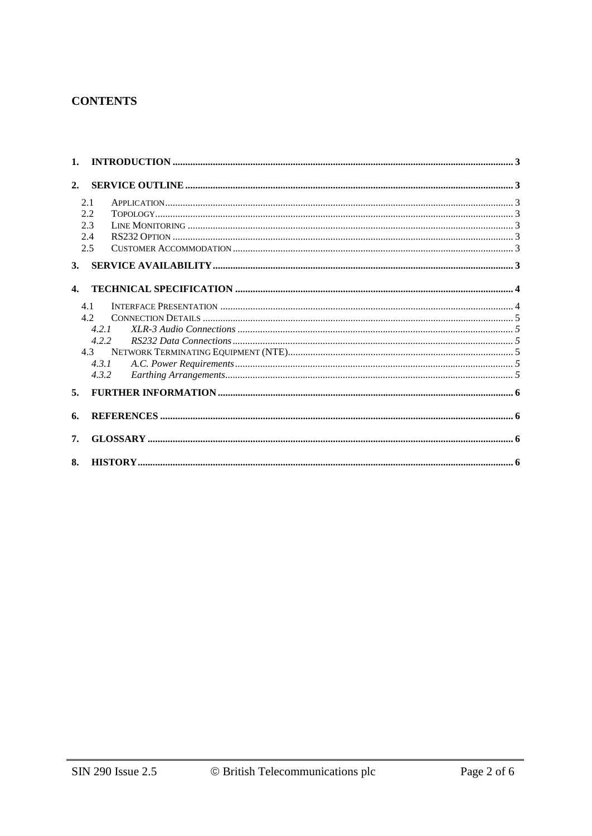# **CONTENTS**

| 1.             |       |  |
|----------------|-------|--|
| 2.             |       |  |
|                | 2.1   |  |
|                | 2.2   |  |
|                | 2.3   |  |
|                | 2.4   |  |
|                | 2.5   |  |
| 3.             |       |  |
|                |       |  |
| $\mathbf{4}$ . |       |  |
|                | 4.1   |  |
|                | 4.2   |  |
|                | 4.2.1 |  |
|                | 4.2.2 |  |
|                | 4.3   |  |
|                | 4.3.1 |  |
|                | 4.3.2 |  |
| 5.             |       |  |
| 6.             |       |  |
| 7.             |       |  |
| 8.             |       |  |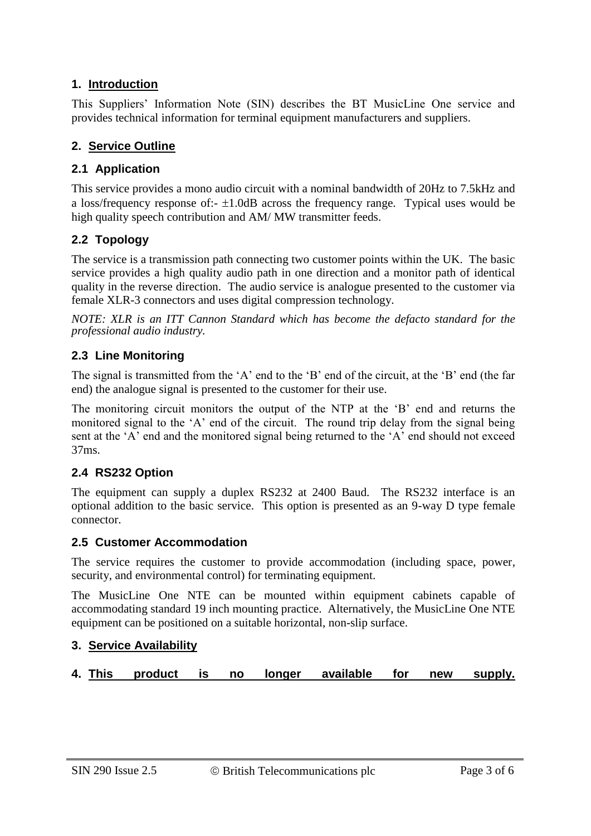# **1. Introduction**

This Suppliers' Information Note (SIN) describes the BT MusicLine One service and provides technical information for terminal equipment manufacturers and suppliers.

# **2. Service Outline**

#### **2.1 Application**

This service provides a mono audio circuit with a nominal bandwidth of 20Hz to 7.5kHz and a loss/frequency response of: $- \pm 1.0$ dB across the frequency range. Typical uses would be high quality speech contribution and AM/MW transmitter feeds.

# **2.2 Topology**

The service is a transmission path connecting two customer points within the UK. The basic service provides a high quality audio path in one direction and a monitor path of identical quality in the reverse direction. The audio service is analogue presented to the customer via female XLR-3 connectors and uses digital compression technology.

*NOTE: XLR is an ITT Cannon Standard which has become the defacto standard for the professional audio industry.*

# **2.3 Line Monitoring**

The signal is transmitted from the 'A' end to the 'B' end of the circuit, at the 'B' end (the far end) the analogue signal is presented to the customer for their use.

The monitoring circuit monitors the output of the NTP at the 'B' end and returns the monitored signal to the 'A' end of the circuit. The round trip delay from the signal being sent at the 'A' end and the monitored signal being returned to the 'A' end should not exceed 37ms.

# **2.4 RS232 Option**

The equipment can supply a duplex RS232 at 2400 Baud. The RS232 interface is an optional addition to the basic service. This option is presented as an 9-way D type female connector.

#### **2.5 Customer Accommodation**

The service requires the customer to provide accommodation (including space, power, security, and environmental control) for terminating equipment.

The MusicLine One NTE can be mounted within equipment cabinets capable of accommodating standard 19 inch mounting practice. Alternatively, the MusicLine One NTE equipment can be positioned on a suitable horizontal, non-slip surface.

#### **3. Service Availability**

**4. This product is no longer available for new supply.**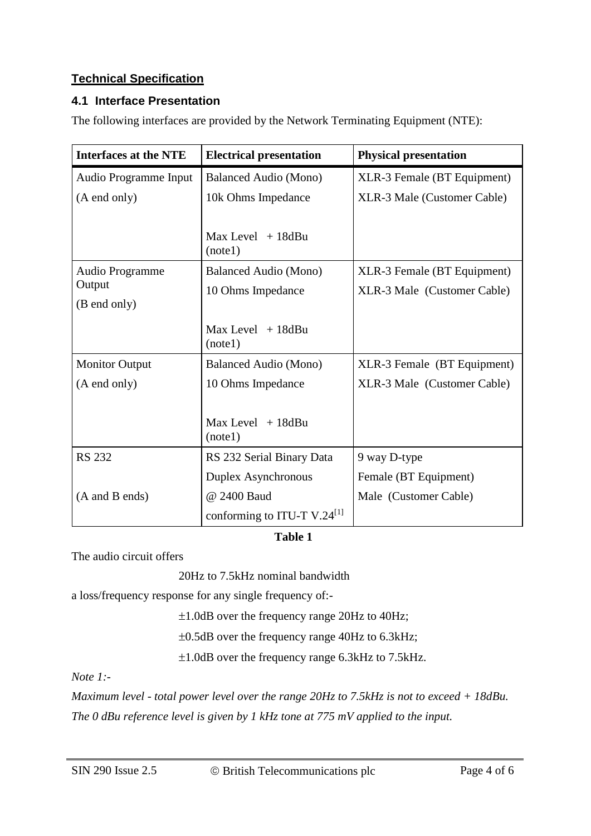# **Technical Specification**

# **4.1 Interface Presentation**

The following interfaces are provided by the Network Terminating Equipment (NTE):

| <b>Interfaces at the NTE</b> | <b>Electrical presentation</b>          | <b>Physical presentation</b> |
|------------------------------|-----------------------------------------|------------------------------|
| Audio Programme Input        | Balanced Audio (Mono)                   | XLR-3 Female (BT Equipment)  |
| (A end only)                 | 10k Ohms Impedance                      | XLR-3 Male (Customer Cable)  |
|                              |                                         |                              |
|                              | $Max Level + 18dBu$<br>(notel)          |                              |
| Audio Programme              | Balanced Audio (Mono)                   | XLR-3 Female (BT Equipment)  |
| Output                       | 10 Ohms Impedance                       | XLR-3 Male (Customer Cable)  |
| (B end only)                 |                                         |                              |
|                              | $Max Level + 18dBu$<br>(notel)          |                              |
| <b>Monitor Output</b>        | <b>Balanced Audio (Mono)</b>            | XLR-3 Female (BT Equipment)  |
| (A end only)                 | 10 Ohms Impedance                       | XLR-3 Male (Customer Cable)  |
|                              |                                         |                              |
|                              | $Max Level + 18dBu$<br>(notel)          |                              |
| <b>RS 232</b>                | RS 232 Serial Binary Data               | 9 way D-type                 |
|                              | Duplex Asynchronous                     | Female (BT Equipment)        |
| (A and B ends)               | @ 2400 Baud                             | Male (Customer Cable)        |
|                              | conforming to ITU-T V.24 <sup>[1]</sup> |                              |

#### **Table 1**

The audio circuit offers

20Hz to 7.5kHz nominal bandwidth

a loss/frequency response for any single frequency of:-

1.0dB over the frequency range 20Hz to 40Hz;

0.5dB over the frequency range 40Hz to 6.3kHz;

 $\pm 1.0$ dB over the frequency range 6.3kHz to 7.5kHz.

*Note 1:-*

*Maximum level - total power level over the range 20Hz to 7.5kHz is not to exceed + 18dBu. The 0 dBu reference level is given by 1 kHz tone at 775 mV applied to the input.*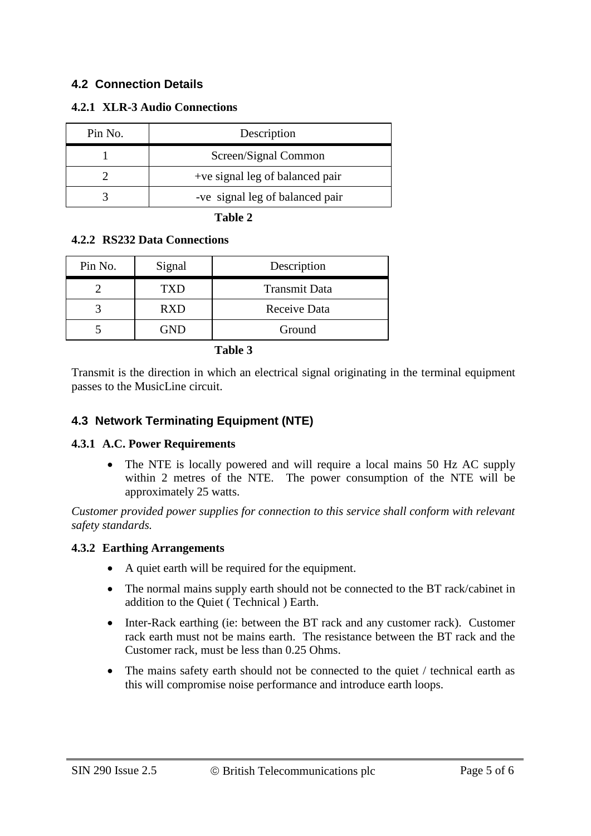# **4.2 Connection Details**

#### **4.2.1 XLR-3 Audio Connections**

| Pin No. | Description                     |
|---------|---------------------------------|
|         | Screen/Signal Common            |
|         | +ve signal leg of balanced pair |
|         | -ve signal leg of balanced pair |

**Table 2**

#### **4.2.2 RS232 Data Connections**

| Pin No. | Signal     | Description          |
|---------|------------|----------------------|
|         | <b>TXD</b> | <b>Transmit Data</b> |
|         | <b>RXD</b> | Receive Data         |
|         | GND        | Ground               |

**Table 3**

Transmit is the direction in which an electrical signal originating in the terminal equipment passes to the MusicLine circuit.

#### **4.3 Network Terminating Equipment (NTE)**

#### **4.3.1 A.C. Power Requirements**

• The NTE is locally powered and will require a local mains 50 Hz AC supply within 2 metres of the NTE. The power consumption of the NTE will be approximately 25 watts.

*Customer provided power supplies for connection to this service shall conform with relevant safety standards.*

#### **4.3.2 Earthing Arrangements**

- A quiet earth will be required for the equipment.
- The normal mains supply earth should not be connected to the BT rack/cabinet in addition to the Quiet ( Technical ) Earth.
- Inter-Rack earthing (ie: between the BT rack and any customer rack). Customer rack earth must not be mains earth. The resistance between the BT rack and the Customer rack, must be less than 0.25 Ohms.
- The mains safety earth should not be connected to the quiet / technical earth as this will compromise noise performance and introduce earth loops.